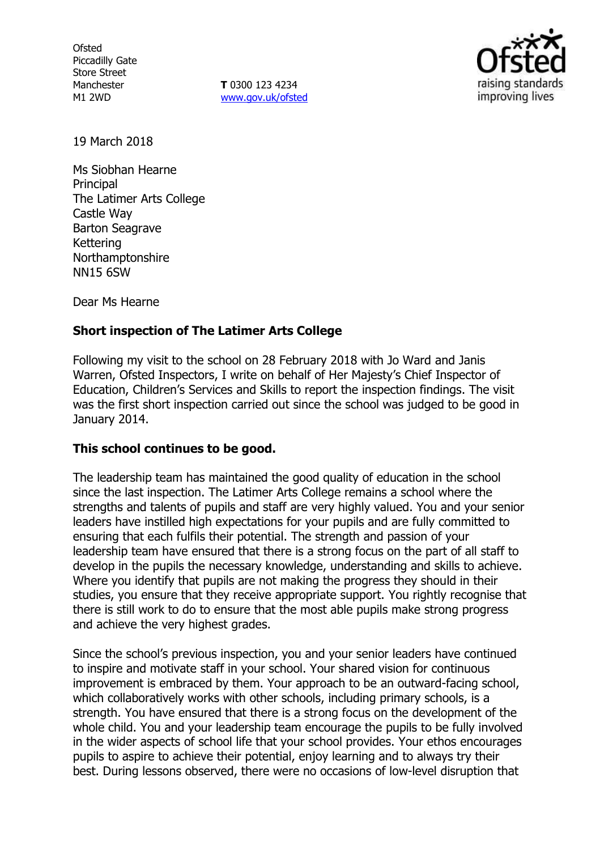**Ofsted** Piccadilly Gate Store Street Manchester M1 2WD

**T** 0300 123 4234 www.gov.uk/ofsted



19 March 2018

Ms Siobhan Hearne **Principal** The Latimer Arts College Castle Way Barton Seagrave Kettering Northamptonshire NN15 6SW

Dear Ms Hearne

## **Short inspection of The Latimer Arts College**

Following my visit to the school on 28 February 2018 with Jo Ward and Janis Warren, Ofsted Inspectors, I write on behalf of Her Majesty's Chief Inspector of Education, Children's Services and Skills to report the inspection findings. The visit was the first short inspection carried out since the school was judged to be good in January 2014.

#### **This school continues to be good.**

The leadership team has maintained the good quality of education in the school since the last inspection. The Latimer Arts College remains a school where the strengths and talents of pupils and staff are very highly valued. You and your senior leaders have instilled high expectations for your pupils and are fully committed to ensuring that each fulfils their potential. The strength and passion of your leadership team have ensured that there is a strong focus on the part of all staff to develop in the pupils the necessary knowledge, understanding and skills to achieve. Where you identify that pupils are not making the progress they should in their studies, you ensure that they receive appropriate support. You rightly recognise that there is still work to do to ensure that the most able pupils make strong progress and achieve the very highest grades.

Since the school's previous inspection, you and your senior leaders have continued to inspire and motivate staff in your school. Your shared vision for continuous improvement is embraced by them. Your approach to be an outward-facing school, which collaboratively works with other schools, including primary schools, is a strength. You have ensured that there is a strong focus on the development of the whole child. You and your leadership team encourage the pupils to be fully involved in the wider aspects of school life that your school provides. Your ethos encourages pupils to aspire to achieve their potential, enjoy learning and to always try their best. During lessons observed, there were no occasions of low-level disruption that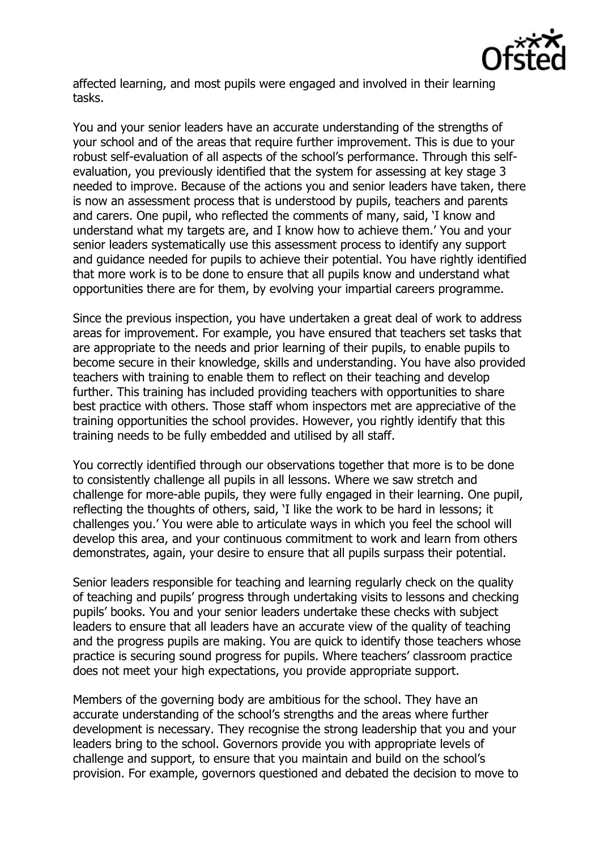

affected learning, and most pupils were engaged and involved in their learning tasks.

You and your senior leaders have an accurate understanding of the strengths of your school and of the areas that require further improvement. This is due to your robust self-evaluation of all aspects of the school's performance. Through this selfevaluation, you previously identified that the system for assessing at key stage 3 needed to improve. Because of the actions you and senior leaders have taken, there is now an assessment process that is understood by pupils, teachers and parents and carers. One pupil, who reflected the comments of many, said, 'I know and understand what my targets are, and I know how to achieve them.' You and your senior leaders systematically use this assessment process to identify any support and guidance needed for pupils to achieve their potential. You have rightly identified that more work is to be done to ensure that all pupils know and understand what opportunities there are for them, by evolving your impartial careers programme.

Since the previous inspection, you have undertaken a great deal of work to address areas for improvement. For example, you have ensured that teachers set tasks that are appropriate to the needs and prior learning of their pupils, to enable pupils to become secure in their knowledge, skills and understanding. You have also provided teachers with training to enable them to reflect on their teaching and develop further. This training has included providing teachers with opportunities to share best practice with others. Those staff whom inspectors met are appreciative of the training opportunities the school provides. However, you rightly identify that this training needs to be fully embedded and utilised by all staff.

You correctly identified through our observations together that more is to be done to consistently challenge all pupils in all lessons. Where we saw stretch and challenge for more-able pupils, they were fully engaged in their learning. One pupil, reflecting the thoughts of others, said, 'I like the work to be hard in lessons; it challenges you.' You were able to articulate ways in which you feel the school will develop this area, and your continuous commitment to work and learn from others demonstrates, again, your desire to ensure that all pupils surpass their potential.

Senior leaders responsible for teaching and learning regularly check on the quality of teaching and pupils' progress through undertaking visits to lessons and checking pupils' books. You and your senior leaders undertake these checks with subject leaders to ensure that all leaders have an accurate view of the quality of teaching and the progress pupils are making. You are quick to identify those teachers whose practice is securing sound progress for pupils. Where teachers' classroom practice does not meet your high expectations, you provide appropriate support.

Members of the governing body are ambitious for the school. They have an accurate understanding of the school's strengths and the areas where further development is necessary. They recognise the strong leadership that you and your leaders bring to the school. Governors provide you with appropriate levels of challenge and support, to ensure that you maintain and build on the school's provision. For example, governors questioned and debated the decision to move to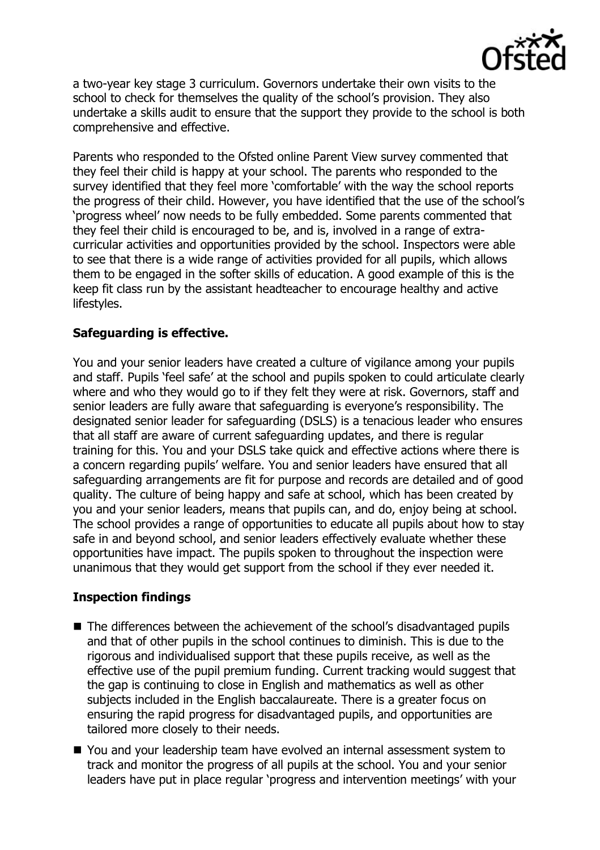

a two-year key stage 3 curriculum. Governors undertake their own visits to the school to check for themselves the quality of the school's provision. They also undertake a skills audit to ensure that the support they provide to the school is both comprehensive and effective.

Parents who responded to the Ofsted online Parent View survey commented that they feel their child is happy at your school. The parents who responded to the survey identified that they feel more 'comfortable' with the way the school reports the progress of their child. However, you have identified that the use of the school's 'progress wheel' now needs to be fully embedded. Some parents commented that they feel their child is encouraged to be, and is, involved in a range of extracurricular activities and opportunities provided by the school. Inspectors were able to see that there is a wide range of activities provided for all pupils, which allows them to be engaged in the softer skills of education. A good example of this is the keep fit class run by the assistant headteacher to encourage healthy and active lifestyles.

## **Safeguarding is effective.**

You and your senior leaders have created a culture of vigilance among your pupils and staff. Pupils 'feel safe' at the school and pupils spoken to could articulate clearly where and who they would go to if they felt they were at risk. Governors, staff and senior leaders are fully aware that safeguarding is everyone's responsibility. The designated senior leader for safeguarding (DSLS) is a tenacious leader who ensures that all staff are aware of current safeguarding updates, and there is regular training for this. You and your DSLS take quick and effective actions where there is a concern regarding pupils' welfare. You and senior leaders have ensured that all safeguarding arrangements are fit for purpose and records are detailed and of good quality. The culture of being happy and safe at school, which has been created by you and your senior leaders, means that pupils can, and do, enjoy being at school. The school provides a range of opportunities to educate all pupils about how to stay safe in and beyond school, and senior leaders effectively evaluate whether these opportunities have impact. The pupils spoken to throughout the inspection were unanimous that they would get support from the school if they ever needed it.

# **Inspection findings**

- The differences between the achievement of the school's disadvantaged pupils and that of other pupils in the school continues to diminish. This is due to the rigorous and individualised support that these pupils receive, as well as the effective use of the pupil premium funding. Current tracking would suggest that the gap is continuing to close in English and mathematics as well as other subjects included in the English baccalaureate. There is a greater focus on ensuring the rapid progress for disadvantaged pupils, and opportunities are tailored more closely to their needs.
- You and your leadership team have evolved an internal assessment system to track and monitor the progress of all pupils at the school. You and your senior leaders have put in place regular 'progress and intervention meetings' with your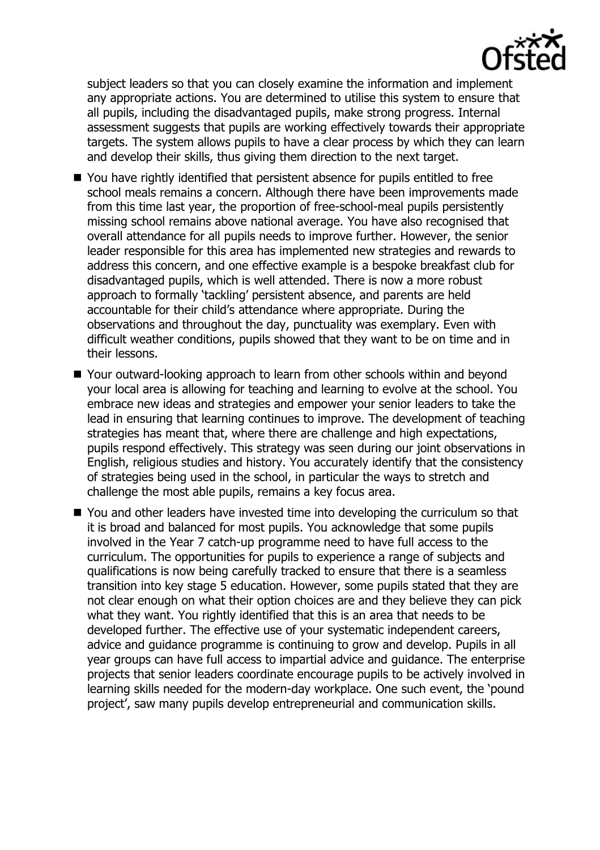

subject leaders so that you can closely examine the information and implement any appropriate actions. You are determined to utilise this system to ensure that all pupils, including the disadvantaged pupils, make strong progress. Internal assessment suggests that pupils are working effectively towards their appropriate targets. The system allows pupils to have a clear process by which they can learn and develop their skills, thus giving them direction to the next target.

- You have rightly identified that persistent absence for pupils entitled to free school meals remains a concern. Although there have been improvements made from this time last year, the proportion of free-school-meal pupils persistently missing school remains above national average. You have also recognised that overall attendance for all pupils needs to improve further. However, the senior leader responsible for this area has implemented new strategies and rewards to address this concern, and one effective example is a bespoke breakfast club for disadvantaged pupils, which is well attended. There is now a more robust approach to formally 'tackling' persistent absence, and parents are held accountable for their child's attendance where appropriate. During the observations and throughout the day, punctuality was exemplary. Even with difficult weather conditions, pupils showed that they want to be on time and in their lessons.
- Your outward-looking approach to learn from other schools within and beyond your local area is allowing for teaching and learning to evolve at the school. You embrace new ideas and strategies and empower your senior leaders to take the lead in ensuring that learning continues to improve. The development of teaching strategies has meant that, where there are challenge and high expectations, pupils respond effectively. This strategy was seen during our joint observations in English, religious studies and history. You accurately identify that the consistency of strategies being used in the school, in particular the ways to stretch and challenge the most able pupils, remains a key focus area.
- You and other leaders have invested time into developing the curriculum so that it is broad and balanced for most pupils. You acknowledge that some pupils involved in the Year 7 catch-up programme need to have full access to the curriculum. The opportunities for pupils to experience a range of subjects and qualifications is now being carefully tracked to ensure that there is a seamless transition into key stage 5 education. However, some pupils stated that they are not clear enough on what their option choices are and they believe they can pick what they want. You rightly identified that this is an area that needs to be developed further. The effective use of your systematic independent careers, advice and guidance programme is continuing to grow and develop. Pupils in all year groups can have full access to impartial advice and guidance. The enterprise projects that senior leaders coordinate encourage pupils to be actively involved in learning skills needed for the modern-day workplace. One such event, the 'pound project', saw many pupils develop entrepreneurial and communication skills.